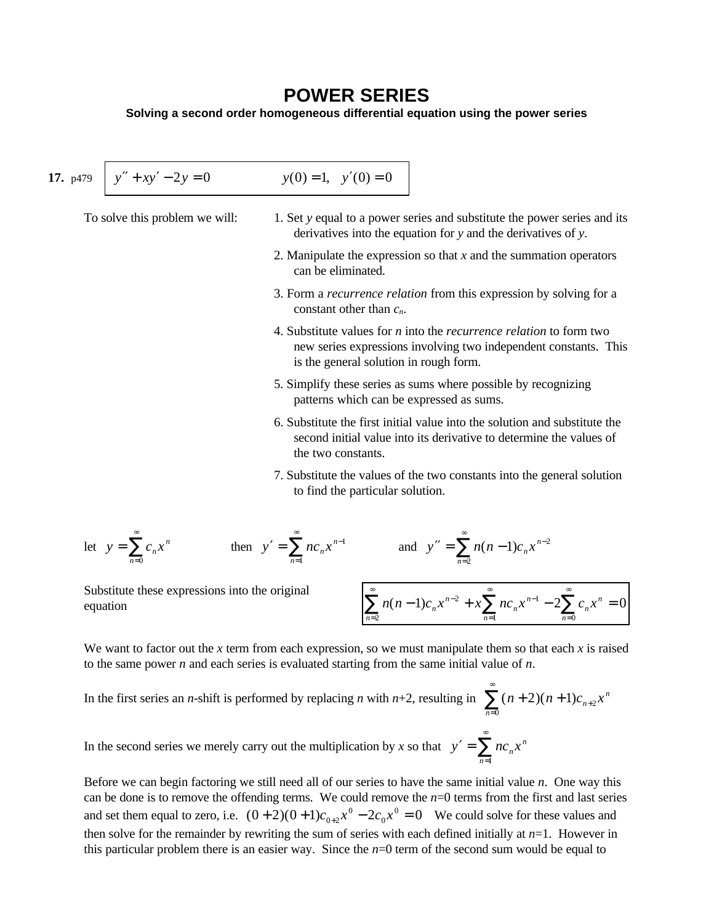## **POWER SERIES**

**Solving a second order homogeneous differential equation using the power series**

17. 
$$
p479 \overline{y'' + xy' - 2y = 0}
$$
  $y(0) = 1$ ,  $y'(0) = 0$   
\nTo solve this problem we will:  
\n1. Set *y* equal to a power series and substitute the power series and its  
\nderivatives into the equation for *y* and the derivatives of *y*.  
\n2. Manipulate the expression so that *x* and the summation operators  
\ncan be eliminated.  
\n3. Form a *recurrence relation* from this expression by solving for a  
\nconstant other than *c<sub>n</sub>*.  
\n4. Substitute values for *n* into the *recurrence relation* to form two  
\nnew series expressions involving two independent constants. This  
\nis the general solution in rough form.  
\n5. Simplify these series as sums where possible by recognizing  
\npatterns which can be expressed as sums.  
\n6. Substitute the first initial value into the solution and substitute the  
\nsecond initial value into its derivative to determine the values of  
\nthe two constants.  
\n7. Substitute the values of the two constants into the general solution  
\nto find the particular solution.

let 
$$
y = \sum_{n=0}^{\infty} c_n x^n
$$
 then  $y' = \sum_{n=1}^{\infty} n c_n x^{n-1}$  and  $y'' = \sum_{n=2}^{\infty} n(n-1)c_n x^{n-2}$ 

Substitute these expressions into the original

Substitute these expressions into the original equation\n
$$
\sum_{n=2}^{\infty} n(n-1)c_n x^{n-2} + x \sum_{n=1}^{\infty} n c_n x^{n-1} - 2 \sum_{n=0}^{\infty} c_n x^n = 0
$$

We want to factor out the *x* term from each expression, so we must manipulate them so that each *x* is raised to the same power *n* and each series is evaluated starting from the same initial value of *n*.

In the first series an *n*-shift is performed by replacing *n* with *n*+2, resulting in  $\sum (n+2)(n+1)c_{n+2}x^n$ *n*  $+ 2)(n + 1)c_{n+1}$ =  $\sum_{n=0}^{\infty} (n+2)(n+1)c_{n+2}$ 

In the second series we merely carry out the multiplication by *x* so that  $y' =$ =  $y' = \sum_{n=0}^{\infty} n c_n x^n$  $n=1$ 

Before we can begin factoring we still need all of our series to have the same initial value *n*. One way this can be done is to remove the offending terms. We could remove the  $n=0$  terms from the first and last series and set them equal to zero, i.e.  $(0+2)(0+1)c_{0+2}x^0 - 2c_0x^0 = 0$ 0  $(1+2)(0+1)c_{0+2}x^{0}-2c_{0}x^{0}=0$  We could solve for these values and then solve for the remainder by rewriting the sum of series with each defined initially at *n*=1. However in this particular problem there is an easier way. Since the  $n=0$  term of the second sum would be equal to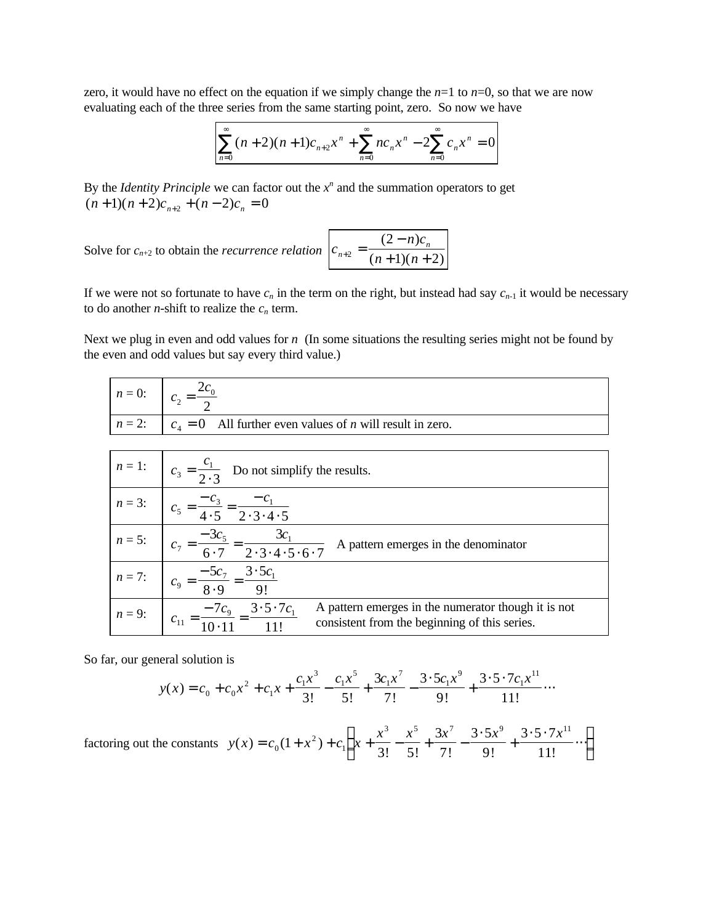zero, it would have no effect on the equation if we simply change the  $n=1$  to  $n=0$ , so that we are now evaluating each of the three series from the same starting point, zero. So now we have

$$
\sum_{n=0}^{\infty} (n+2)(n+1)c_{n+2}x^{n} + \sum_{n=0}^{\infty} nc_{n}x^{n} - 2\sum_{n=0}^{\infty} c_{n}x^{n} = 0
$$

By the *Identity Principle* we can factor out the  $x^n$  and the summation operators to get  $(n+1)(n+2)c_{n+2} + (n-2)c_n = 0$ 

Solve for  $c_{n+2}$  to obtain the *recurrence relation*  $\vert c \vert$  $n+2$ <sup>-</sup>  $(n+1)(n)$  $_{+2} = \frac{(2 - h)\epsilon_n}{(m + 1)(m + 1)}$ −  $n^2 - (n+1)(n+1)$ 2  $1)(n+2)$  $(2 - n)$  $(n+1)(n+2)$ 

If we were not so fortunate to have  $c_n$  in the term on the right, but instead had say  $c_{n-1}$  it would be necessary to do another *n*-shift to realize the  $c_n$  term.

*n c*

Next we plug in even and odd values for *n* (In some situations the resulting series might not be found by the even and odd values but say every third value.)

|                          | $n = 0:$ $c_2 = \frac{2c_0}{2}$                                                                                                                                                               |  |  |  |  |
|--------------------------|-----------------------------------------------------------------------------------------------------------------------------------------------------------------------------------------------|--|--|--|--|
| $n = 2$ : $\int c_4 = 0$ | All further even values of $n$ will result in zero.                                                                                                                                           |  |  |  |  |
|                          |                                                                                                                                                                                               |  |  |  |  |
|                          | $n=1$ : $c_3 = \frac{c_1}{2 \cdot 3}$ Do not simplify the results.                                                                                                                            |  |  |  |  |
|                          | <i>n</i> = 3: $c_5 = \frac{-c_3}{4 \cdot 5} = \frac{-c_1}{2 \cdot 3 \cdot 4 \cdot 5}$                                                                                                         |  |  |  |  |
|                          | $n = 5$ : $c_7 = \frac{-3c_5}{6 \cdot 7} = \frac{3c_1}{2 \cdot 3 \cdot 4 \cdot 5 \cdot 6 \cdot 7}$ A pattern emerges in the denominator                                                       |  |  |  |  |
|                          | $n=7$ : $c_9 = \frac{-5c_7}{8.9} = \frac{3 \cdot 5c_1}{9!}$                                                                                                                                   |  |  |  |  |
|                          | <i>n</i> = 9: $c_{11} = \frac{-7c_9}{10 \cdot 11} = \frac{3 \cdot 5 \cdot 7c_1}{11!}$<br>A pattern emerges in the numerator though it is not<br>consistent from the beginning of this series. |  |  |  |  |

So far, our general solution is

$$
y(x) = c_0 + c_0 x^2 + c_1 x + \frac{c_1 x^3}{3!} - \frac{c_1 x^5}{5!} + \frac{3c_1 x^7}{7!} - \frac{3 \cdot 5c_1 x^9}{9!} + \frac{3 \cdot 5 \cdot 7c_1 x^{11}}{11!} \cdots
$$

factoring out the constants  $y(x) = c_0(1 + x^2) + c_1 x$  $x^3$   $x^5$   $3x^7$   $3.5x^9$   $3.5.7x$  $(x) = c_0 (1 + x^2)$  $! 5! 7! 9! 11!$  $= c_0(1 + x^2) + c_1 x + \frac{x^2}{2!} - \frac{x^3}{3!} + \frac{5x^2}{7!} -$ ⋅ +  $\cdot$  5  $\cdot$ ⋅⋅⋅ ſ l I  $\left( \frac{1}{2} \right)$  $c_0(1+x^2)+c_1\left(x+\frac{x}{3!}-\frac{x}{5!}+\frac{3x}{7!}-\frac{3\cdot 3x}{9!}+\frac{3\cdot 3\cdot 7x}{11!}\cdots\right)$ 1 3  $5 \t 2r^7$   $25r^9$   $25 \t 7r^{11}$ 1 3! 5 3 7  $3.5$ 9  $3.5.7$ 11